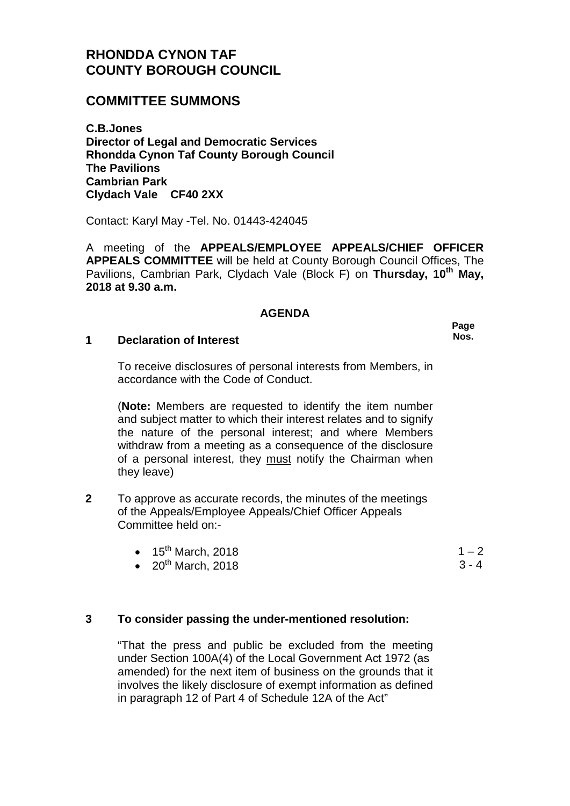# **RHONDDA CYNON TAF COUNTY BOROUGH COUNCIL**

## **COMMITTEE SUMMONS**

**C.B.Jones Director of Legal and Democratic Services Rhondda Cynon Taf County Borough Council The Pavilions Cambrian Park Clydach Vale CF40 2XX**

Contact: Karyl May -Tel. No. 01443-424045

A meeting of the **APPEALS/EMPLOYEE APPEALS/CHIEF OFFICER APPEALS COMMITTEE** will be held at County Borough Council Offices, The Pavilions, Cambrian Park, Clydach Vale (Block F) on **Thursday, 10th May, 2018 at 9.30 a.m.**

#### **AGENDA**

#### **1 Declaration of Interest**

To receive disclosures of personal interests from Members, in accordance with the Code of Conduct.

(**Note:** Members are requested to identify the item number and subject matter to which their interest relates and to signify the nature of the personal interest; and where Members withdraw from a meeting as a consequence of the disclosure of a personal interest, they must notify the Chairman when they leave)

**2** To approve as accurate records, the minutes of the meetings of the Appeals/Employee Appeals/Chief Officer Appeals Committee held on:-

| $\bullet$ 15 <sup>th</sup> March, 2018                                                                                                                                                                                                                                                           |  |
|--------------------------------------------------------------------------------------------------------------------------------------------------------------------------------------------------------------------------------------------------------------------------------------------------|--|
| $\mathbf{f}$ and $\mathbf{f}$ and $\mathbf{f}$ and $\mathbf{f}$ and $\mathbf{f}$ and $\mathbf{f}$ and $\mathbf{f}$ and $\mathbf{f}$ and $\mathbf{f}$ and $\mathbf{f}$ and $\mathbf{f}$ and $\mathbf{f}$ and $\mathbf{f}$ and $\mathbf{f}$ and $\mathbf{f}$ and $\mathbf{f}$ and $\mathbf{f}$ and |  |

 $\bullet$  20<sup>th</sup> March, 2018

### **3 To consider passing the under-mentioned resolution:**

"That the press and public be excluded from the meeting under Section 100A(4) of the Local Government Act 1972 (as amended) for the next item of business on the grounds that it involves the likely disclosure of exempt information as defined in paragraph 12 of Part 4 of Schedule 12A of the Act"

**Page Nos.**

> $-2$  $3 - 4$